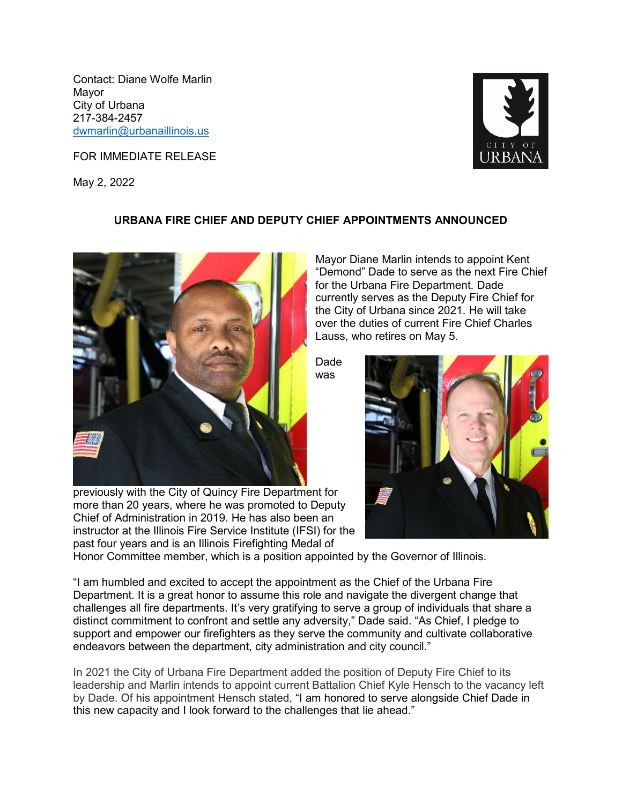Contact: Diane Wolfe Marlin Mayor City of Urbana 217-384-2457 [dwmarlin@urbanaillinois.us](mailto:dwmarlin@urbanaillinois.us)

FOR IMMEDIATE RELEASE

May 2, 2022



## **URBANA FIRE CHIEF AND DEPUTY CHIEF APPOINTMENTS ANNOUNCED**



previously with the City of Quincy Fire Department for more than 20 years, where he was promoted to Deputy Chief of Administration in 2019. He has also been an instructor at the Illinois Fire Service Institute (IFSI) for the past four years and is an Illinois Firefighting Medal of

Mayor Diane Marlin intends to appoint Kent "Demond" Dade to serve as the next Fire Chief for the Urbana Fire Department. Dade currently serves as the Deputy Fire Chief for the City of Urbana since 2021. He will take over the duties of current Fire Chief Charles Lauss, who retires on May 5.

Dade was



Honor Committee member, which is a position appointed by the Governor of Illinois.

"I am humbled and excited to accept the appointment as the Chief of the Urbana Fire Department. It is a great honor to assume this role and navigate the divergent change that challenges all fire departments. It's very gratifying to serve a group of individuals that share a distinct commitment to confront and settle any adversity," Dade said. "As Chief, I pledge to support and empower our firefighters as they serve the community and cultivate collaborative endeavors between the department, city administration and city council."

In 2021 the City of Urbana Fire Department added the position of Deputy Fire Chief to its leadership and Marlin intends to appoint current Battalion Chief Kyle Hensch to the vacancy left by Dade. Of his appointment Hensch stated, "I am honored to serve alongside Chief Dade in this new capacity and I look forward to the challenges that lie ahead."